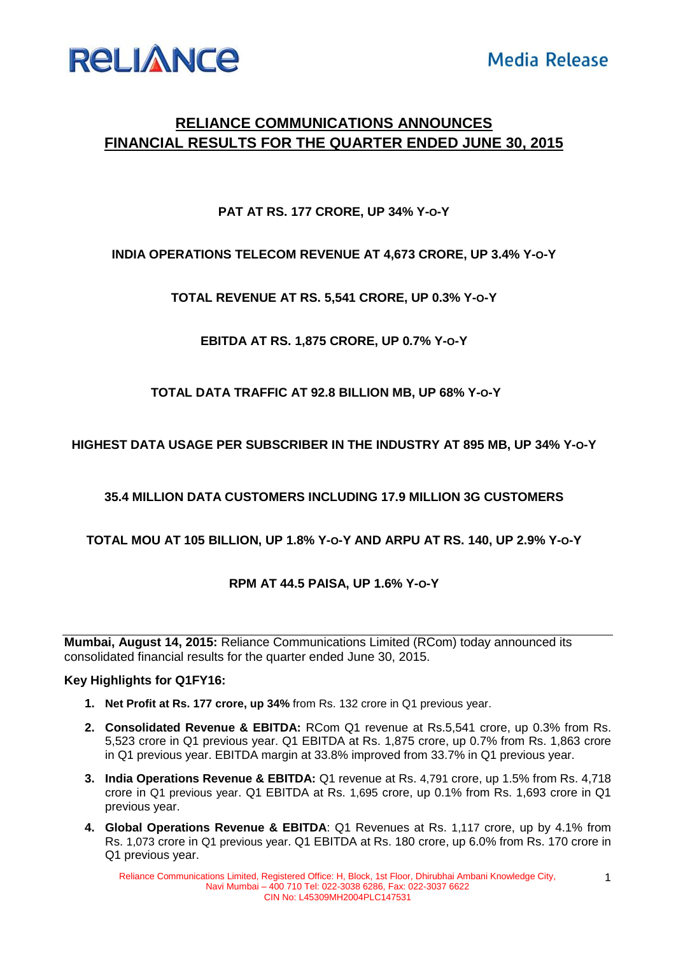

# **RELIANCE COMMUNICATIONS ANNOUNCES FINANCIAL RESULTS FOR THE QUARTER ENDED JUNE 30, 2015**

## **PAT AT RS. 177 CRORE, UP 34% Y-O-Y**

## **INDIA OPERATIONS TELECOM REVENUE AT 4,673 CRORE, UP 3.4% Y-O-Y**

**TOTAL REVENUE AT RS. 5,541 CRORE, UP 0.3% Y-O-Y**

**EBITDA AT RS. 1,875 CRORE, UP 0.7% Y-O-Y**

**TOTAL DATA TRAFFIC AT 92.8 BILLION MB, UP 68% Y-O-Y**

**HIGHEST DATA USAGE PER SUBSCRIBER IN THE INDUSTRY AT 895 MB, UP 34% Y-O-Y**

**35.4 MILLION DATA CUSTOMERS INCLUDING 17.9 MILLION 3G CUSTOMERS**

## **TOTAL MOU AT 105 BILLION, UP 1.8% Y-O-Y AND ARPU AT RS. 140, UP 2.9% Y-O-Y**

## **RPM AT 44.5 PAISA, UP 1.6% Y-O-Y**

**Mumbai, August 14, 2015:** Reliance Communications Limited (RCom) today announced its consolidated financial results for the quarter ended June 30, 2015.

### **Key Highlights for Q1FY16:**

- **1. Net Profit at Rs. 177 crore, up 34%** from Rs. 132 crore in Q1 previous year.
- **2. Consolidated Revenue & EBITDA:** RCom Q1 revenue at Rs.5,541 crore, up 0.3% from Rs. 5,523 crore in Q1 previous year. Q1 EBITDA at Rs. 1,875 crore, up 0.7% from Rs. 1,863 crore in Q1 previous year. EBITDA margin at 33.8% improved from 33.7% in Q1 previous year.
- **3. India Operations Revenue & EBITDA:** Q1 revenue at Rs. 4,791 crore, up 1.5% from Rs. 4,718 crore in Q1 previous year. Q1 EBITDA at Rs. 1,695 crore, up 0.1% from Rs. 1,693 crore in Q1 previous year.
- **4. Global Operations Revenue & EBITDA**: Q1 Revenues at Rs. 1,117 crore, up by 4.1% from Rs. 1,073 crore in Q1 previous year. Q1 EBITDA at Rs. 180 crore, up 6.0% from Rs. 170 crore in Q1 previous year.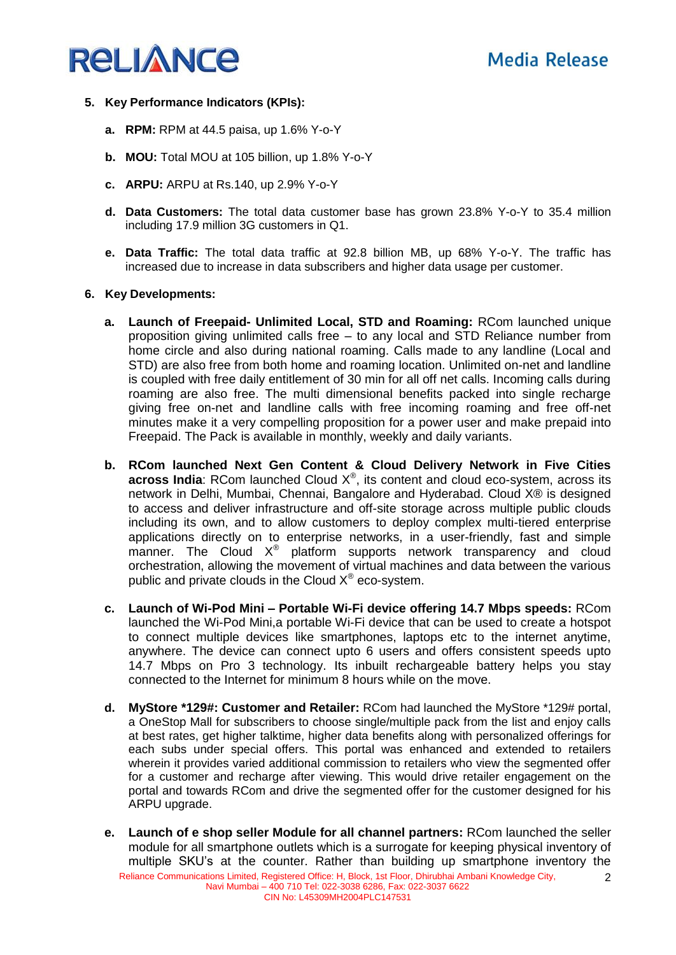

- **5. Key Performance Indicators (KPIs):** 
	- **a. RPM:** RPM at 44.5 paisa, up 1.6% Y-o-Y
	- **b. MOU:** Total MOU at 105 billion, up 1.8% Y-o-Y
	- **c. ARPU:** ARPU at Rs.140, up 2.9% Y-o-Y
	- **d. Data Customers:** The total data customer base has grown 23.8% Y-o-Y to 35.4 million including 17.9 million 3G customers in Q1.
	- **e. Data Traffic:** The total data traffic at 92.8 billion MB, up 68% Y-o-Y. The traffic has increased due to increase in data subscribers and higher data usage per customer.

#### **6. Key Developments:**

- **a. Launch of Freepaid- Unlimited Local, STD and Roaming:** RCom launched unique proposition giving unlimited calls free – to any local and STD Reliance number from home circle and also during national roaming. Calls made to any landline (Local and STD) are also free from both home and roaming location. Unlimited on-net and landline is coupled with free daily entitlement of 30 min for all off net calls. Incoming calls during roaming are also free. The multi dimensional benefits packed into single recharge giving free on-net and landline calls with free incoming roaming and free off-net minutes make it a very compelling proposition for a power user and make prepaid into Freepaid. The Pack is available in monthly, weekly and daily variants.
- **b. RCom launched Next Gen Content & Cloud Delivery Network in Five Cities across India**: RCom launched Cloud  $X^{\circledast}$ , its content and cloud eco-system, across its network in Delhi, Mumbai, Chennai, Bangalore and Hyderabad. Cloud X® is designed to access and deliver infrastructure and off-site storage across multiple public clouds including its own, and to allow customers to deploy complex multi-tiered enterprise applications directly on to enterprise networks, in a user-friendly, fast and simple manner. The Cloud  $X^{\circledast}$  platform supports network transparency and cloud orchestration, allowing the movement of virtual machines and data between the various public and private clouds in the Cloud  $X^{\circledast}$  eco-system.
- **c. Launch of Wi-Pod Mini – Portable Wi-Fi device offering 14.7 Mbps speeds:** RCom launched the Wi-Pod Mini,a portable Wi-Fi device that can be used to create a hotspot to connect multiple devices like smartphones, laptops etc to the internet anytime, anywhere. The device can connect upto 6 users and offers consistent speeds upto 14.7 Mbps on Pro 3 technology. Its inbuilt rechargeable battery helps you stay connected to the Internet for minimum 8 hours while on the move.
- **d. MyStore \*129#: Customer and Retailer:** RCom had launched the MyStore \*129# portal, a OneStop Mall for subscribers to choose single/multiple pack from the list and enjoy calls at best rates, get higher talktime, higher data benefits along with personalized offerings for each subs under special offers. This portal was enhanced and extended to retailers wherein it provides varied additional commission to retailers who view the segmented offer for a customer and recharge after viewing. This would drive retailer engagement on the portal and towards RCom and drive the segmented offer for the customer designed for his ARPU upgrade.
- **e. Launch of e shop seller Module for all channel partners:** RCom launched the seller module for all smartphone outlets which is a surrogate for keeping physical inventory of multiple SKU's at the counter. Rather than building up smartphone inventory the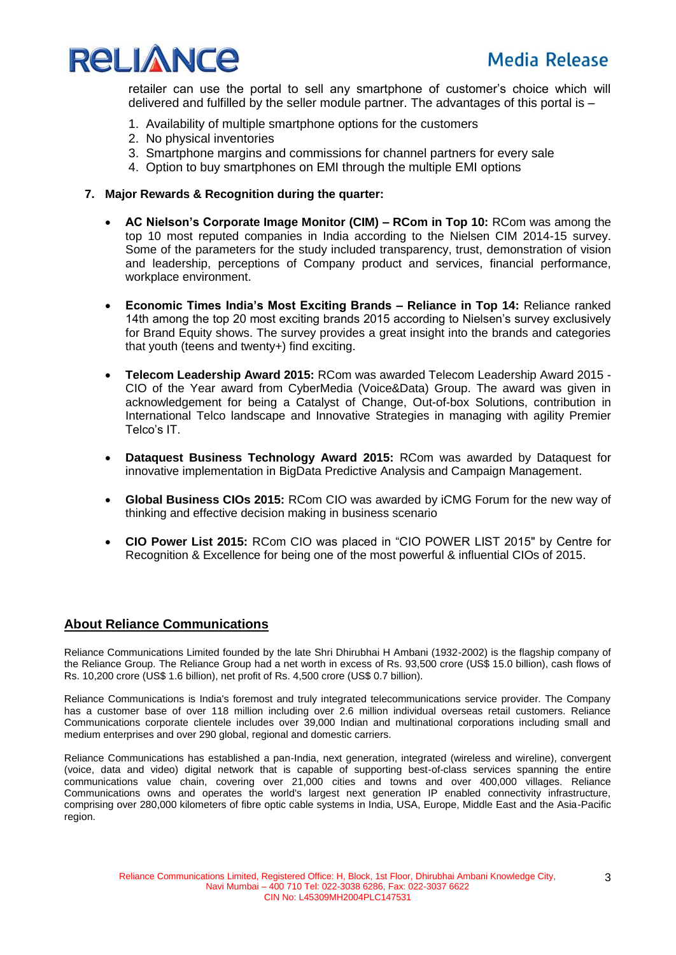



retailer can use the portal to sell any smartphone of customer's choice which will delivered and fulfilled by the seller module partner. The advantages of this portal is –

- 1. Availability of multiple smartphone options for the customers
- 2. No physical inventories
- 3. Smartphone margins and commissions for channel partners for every sale
- 4. Option to buy smartphones on EMI through the multiple EMI options

#### **7. Major Rewards & Recognition during the quarter:**

- **AC Nielson's Corporate Image Monitor (CIM) – RCom in Top 10:** RCom was among the top 10 most reputed companies in India according to the Nielsen CIM 2014-15 survey. Some of the parameters for the study included transparency, trust, demonstration of vision and leadership, perceptions of Company product and services, financial performance, workplace environment.
- **Economic Times India's Most Exciting Brands – Reliance in Top 14:** Reliance ranked 14th among the top 20 most exciting brands 2015 according to Nielsen's survey exclusively for Brand Equity shows. The survey provides a great insight into the brands and categories that youth (teens and twenty+) find exciting.
- **Telecom Leadership Award 2015:** RCom was awarded Telecom Leadership Award 2015 CIO of the Year award from CyberMedia (Voice&Data) Group. The award was given in acknowledgement for being a Catalyst of Change, Out-of-box Solutions, contribution in International Telco landscape and Innovative Strategies in managing with agility Premier Telco's IT.
- **Dataquest Business Technology Award 2015:** RCom was awarded by Dataquest for innovative implementation in BigData Predictive Analysis and Campaign Management.
- **Global Business CIOs 2015:** RCom CIO was awarded by iCMG Forum for the new way of thinking and effective decision making in business scenario
- **CIO Power List 2015:** RCom CIO was placed in "CIO POWER LIST 2015" by Centre for Recognition & Excellence for being one of the most powerful & influential CIOs of 2015.

### **About Reliance Communications**

Reliance Communications Limited founded by the late Shri Dhirubhai H Ambani (1932-2002) is the flagship company of the Reliance Group. The Reliance Group had a net worth in excess of Rs. 93,500 crore (US\$ 15.0 billion), cash flows of Rs. 10,200 crore (US\$ 1.6 billion), net profit of Rs. 4,500 crore (US\$ 0.7 billion).

Reliance Communications is India's foremost and truly integrated telecommunications service provider. The Company has a customer base of over 118 million including over 2.6 million individual overseas retail customers. Reliance Communications corporate clientele includes over 39,000 Indian and multinational corporations including small and medium enterprises and over 290 global, regional and domestic carriers.

Reliance Communications has established a pan-India, next generation, integrated (wireless and wireline), convergent (voice, data and video) digital network that is capable of supporting best-of-class services spanning the entire communications value chain, covering over 21,000 cities and towns and over 400,000 villages. Reliance Communications owns and operates the world's largest next generation IP enabled connectivity infrastructure, comprising over 280,000 kilometers of fibre optic cable systems in India, USA, Europe, Middle East and the Asia-Pacific region.